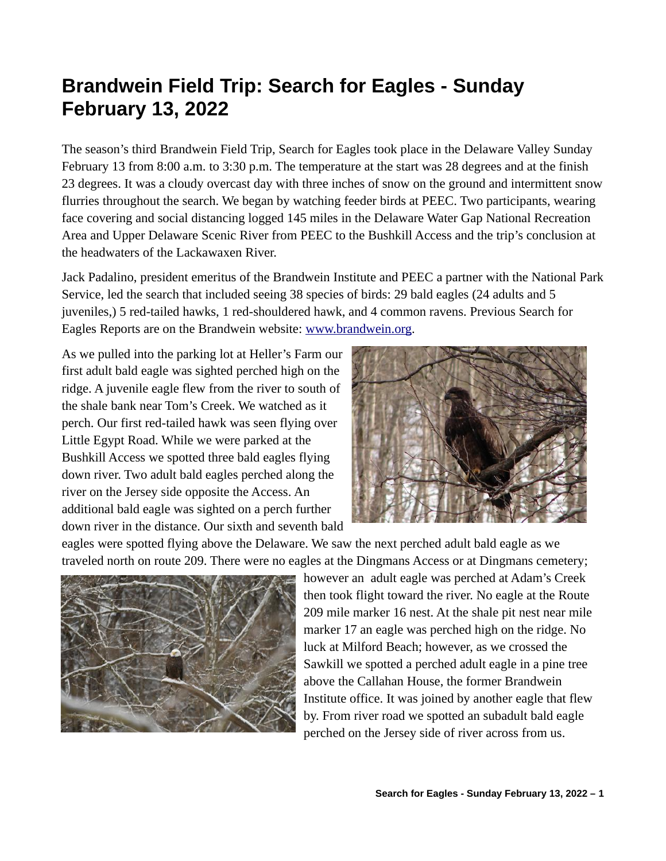## **Brandwein Field Trip: Search for Eagles - Sunday February 13, 2022**

The season's third Brandwein Field Trip, Search for Eagles took place in the Delaware Valley Sunday February 13 from 8:00 a.m. to 3:30 p.m. The temperature at the start was 28 degrees and at the finish 23 degrees. It was a cloudy overcast day with three inches of snow on the ground and intermittent snow flurries throughout the search. We began by watching feeder birds at PEEC. Two participants, wearing face covering and social distancing logged 145 miles in the Delaware Water Gap National Recreation Area and Upper Delaware Scenic River from PEEC to the Bushkill Access and the trip's conclusion at the headwaters of the Lackawaxen River.

Jack Padalino, president emeritus of the Brandwein Institute and PEEC a partner with the National Park Service, led the search that included seeing 38 species of birds: 29 bald eagles (24 adults and 5 juveniles,) 5 red-tailed hawks, 1 red-shouldered hawk, and 4 common ravens. Previous Search for Eagles Reports are on the Brandwein website: [www.brandwein.org.](http://www.brandwein.org/)

As we pulled into the parking lot at Heller's Farm our first adult bald eagle was sighted perched high on the ridge. A juvenile eagle flew from the river to south of the shale bank near Tom's Creek. We watched as it perch. Our first red-tailed hawk was seen flying over Little Egypt Road. While we were parked at the Bushkill Access we spotted three bald eagles flying down river. Two adult bald eagles perched along the river on the Jersey side opposite the Access. An additional bald eagle was sighted on a perch further down river in the distance. Our sixth and seventh bald



eagles were spotted flying above the Delaware. We saw the next perched adult bald eagle as we traveled north on route 209. There were no eagles at the Dingmans Access or at Dingmans cemetery;



however an adult eagle was perched at Adam's Creek then took flight toward the river. No eagle at the Route 209 mile marker 16 nest. At the shale pit nest near mile marker 17 an eagle was perched high on the ridge. No luck at Milford Beach; however, as we crossed the Sawkill we spotted a perched adult eagle in a pine tree above the Callahan House, the former Brandwein Institute office. It was joined by another eagle that flew by. From river road we spotted an subadult bald eagle perched on the Jersey side of river across from us.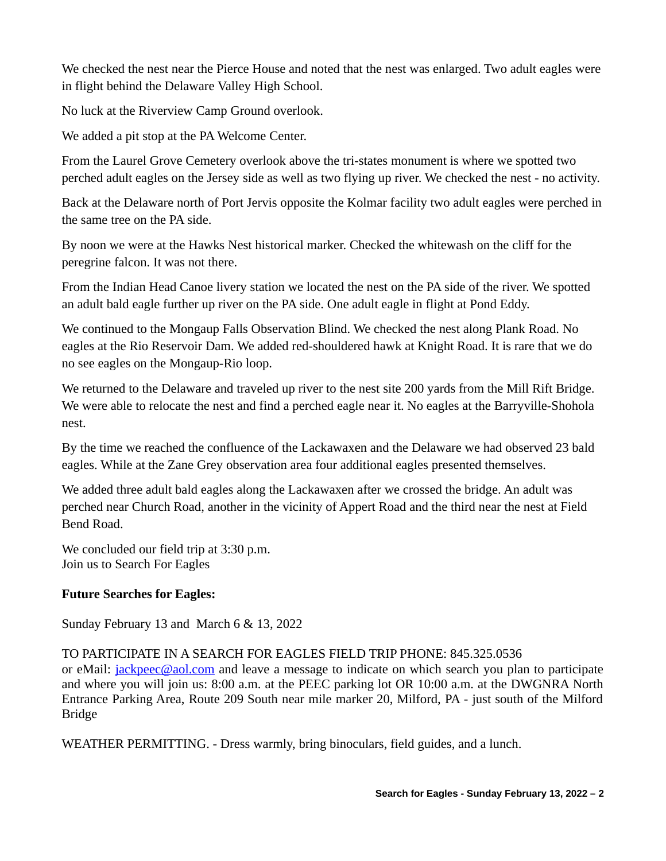We checked the nest near the Pierce House and noted that the nest was enlarged. Two adult eagles were in flight behind the Delaware Valley High School.

No luck at the Riverview Camp Ground overlook.

We added a pit stop at the PA Welcome Center.

From the Laurel Grove Cemetery overlook above the tri-states monument is where we spotted two perched adult eagles on the Jersey side as well as two flying up river. We checked the nest - no activity.

Back at the Delaware north of Port Jervis opposite the Kolmar facility two adult eagles were perched in the same tree on the PA side.

By noon we were at the Hawks Nest historical marker. Checked the whitewash on the cliff for the peregrine falcon. It was not there.

From the Indian Head Canoe livery station we located the nest on the PA side of the river. We spotted an adult bald eagle further up river on the PA side. One adult eagle in flight at Pond Eddy.

We continued to the Mongaup Falls Observation Blind. We checked the nest along Plank Road. No eagles at the Rio Reservoir Dam. We added red-shouldered hawk at Knight Road. It is rare that we do no see eagles on the Mongaup-Rio loop.

We returned to the Delaware and traveled up river to the nest site 200 yards from the Mill Rift Bridge. We were able to relocate the nest and find a perched eagle near it. No eagles at the Barryville-Shohola nest.

By the time we reached the confluence of the Lackawaxen and the Delaware we had observed 23 bald eagles. While at the Zane Grey observation area four additional eagles presented themselves.

We added three adult bald eagles along the Lackawaxen after we crossed the bridge. An adult was perched near Church Road, another in the vicinity of Appert Road and the third near the nest at Field Bend Road.

We concluded our field trip at 3:30 p.m. Join us to Search For Eagles

## **Future Searches for Eagles:**

Sunday February 13 and March 6 & 13, 2022

TO PARTICIPATE IN A SEARCH FOR EAGLES FIELD TRIP PHONE: 845.325.0536

or eMail: *[jackpeec@aol.com](mailto:jackpeec@aol.com)* and leave a message to indicate on which search you plan to participate and where you will join us: 8:00 a.m. at the PEEC parking lot OR 10:00 a.m. at the DWGNRA North Entrance Parking Area, Route 209 South near mile marker 20, Milford, PA - just south of the Milford Bridge

WEATHER PERMITTING. - Dress warmly, bring binoculars, field guides, and a lunch.